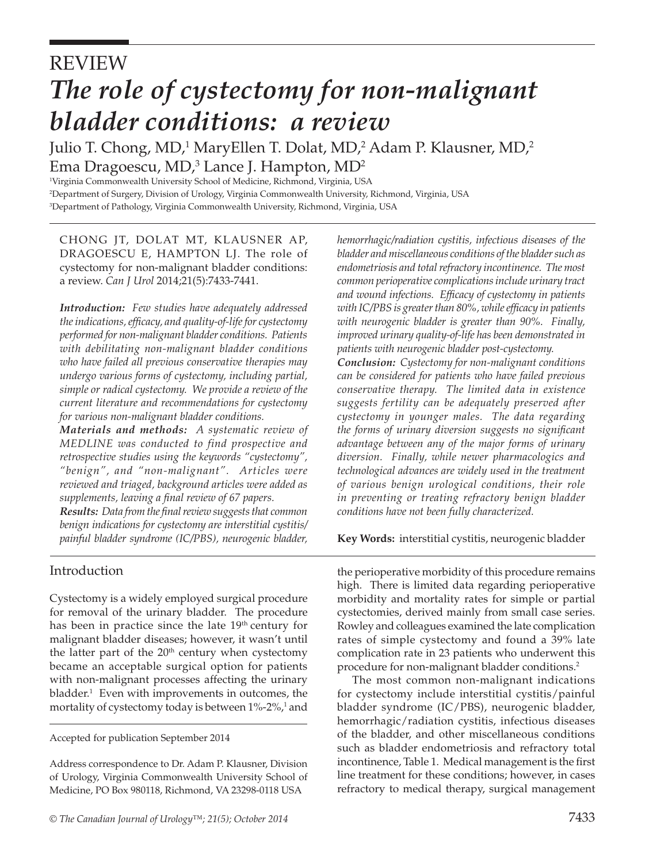# REVIEW *The role of cystectomy for non-malignant bladder conditions: a review*

Julio T. Chong, MD,<sup>1</sup> MaryEllen T. Dolat, MD,<sup>2</sup> Adam P. Klausner, MD,<sup>2</sup> Ema Dragoescu, MD, $^3$  Lance J. Hampton, MD $^2$ 

1 Virginia Commonwealth University School of Medicine, Richmond, Virginia, USA 2 Department of Surgery, Division of Urology, Virginia Commonwealth University, Richmond, Virginia, USA 3 Department of Pathology, Virginia Commonwealth University, Richmond, Virginia, USA

CHONG JT, DOLAT MT, KLAUSNER AP, DRAGOESCU E, HAMPTON LJ. The role of cystectomy for non-malignant bladder conditions: a review. *Can J Urol* 2014;21(5):7433-7441.

*Introduction: Few studies have adequately addressed the indications, efficacy, and quality-of-life for cystectomy performed for non-malignant bladder conditions. Patients with debilitating non-malignant bladder conditions who have failed all previous conservative therapies may undergo various forms of cystectomy, including partial, simple or radical cystectomy. We provide a review of the current literature and recommendations for cystectomy for various non-malignant bladder conditions.*

*Materials and methods: A systematic review of MEDLINE was conducted to find prospective and retrospective studies using the keywords "cystectomy", "benign", and "non-malignant". Articles were reviewed and triaged, background articles were added as supplements, leaving a final review of 67 papers.* 

*Results: Data from the final review suggests that common benign indications for cystectomy are interstitial cystitis/ painful bladder syndrome (IC/PBS), neurogenic bladder,* 

# Introduction

Cystectomy is a widely employed surgical procedure for removal of the urinary bladder. The procedure has been in practice since the late 19<sup>th</sup> century for malignant bladder diseases; however, it wasn't until the latter part of the  $20<sup>th</sup>$  century when cystectomy became an acceptable surgical option for patients with non-malignant processes affecting the urinary bladder.<sup>1</sup> Even with improvements in outcomes, the mortality of cystectomy today is between  $1\%$ -2 $\%$ , and

Accepted for publication September 2014

Address correspondence to Dr. Adam P. Klausner, Division of Urology, Virginia Commonwealth University School of Medicine, PO Box 980118, Richmond, VA 23298-0118 USA

*hemorrhagic/radiation cystitis, infectious diseases of the bladder and miscellaneous conditions of the bladder such as endometriosis and total refractory incontinence. The most common perioperative complications include urinary tract and wound infections. Efficacy of cystectomy in patients with IC/PBS is greater than 80%, while efficacy in patients with neurogenic bladder is greater than 90%. Finally, improved urinary quality-of-life has been demonstrated in patients with neurogenic bladder post-cystectomy.*

*Conclusion: Cystectomy for non-malignant conditions can be considered for patients who have failed previous conservative therapy. The limited data in existence suggests fertility can be adequately preserved after cystectomy in younger males. The data regarding the forms of urinary diversion suggests no significant advantage between any of the major forms of urinary diversion. Finally, while newer pharmacologics and technological advances are widely used in the treatment of various benign urological conditions, their role in preventing or treating refractory benign bladder conditions have not been fully characterized.*

**Key Words:** interstitial cystitis, neurogenic bladder

the perioperative morbidity of this procedure remains high. There is limited data regarding perioperative morbidity and mortality rates for simple or partial cystectomies, derived mainly from small case series. Rowley and colleagues examined the late complication rates of simple cystectomy and found a 39% late complication rate in 23 patients who underwent this procedure for non-malignant bladder conditions.2

The most common non-malignant indications for cystectomy include interstitial cystitis/painful bladder syndrome (IC/PBS), neurogenic bladder, hemorrhagic/radiation cystitis, infectious diseases of the bladder, and other miscellaneous conditions such as bladder endometriosis and refractory total incontinence, Table 1. Medical management is the first line treatment for these conditions; however, in cases refractory to medical therapy, surgical management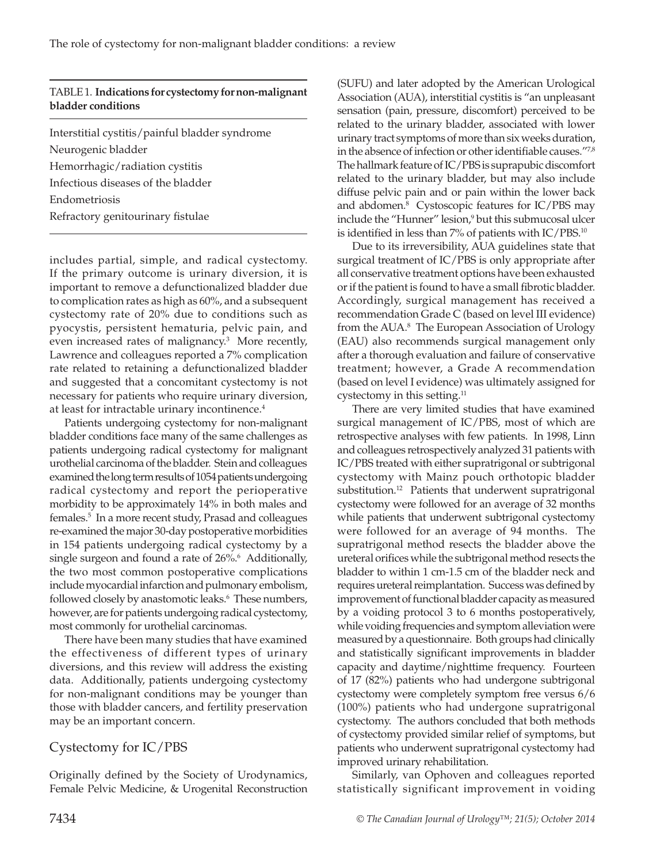#### TABLE 1. **Indications for cystectomy for non-malignant bladder conditions**

Interstitial cystitis/painful bladder syndrome Neurogenic bladder Hemorrhagic/radiation cystitis Infectious diseases of the bladder Endometriosis Refractory genitourinary fistulae

includes partial, simple, and radical cystectomy. If the primary outcome is urinary diversion, it is important to remove a defunctionalized bladder due to complication rates as high as 60%, and a subsequent cystectomy rate of 20% due to conditions such as pyocystis, persistent hematuria, pelvic pain, and even increased rates of malignancy.<sup>3</sup> More recently, Lawrence and colleagues reported a 7% complication rate related to retaining a defunctionalized bladder and suggested that a concomitant cystectomy is not necessary for patients who require urinary diversion, at least for intractable urinary incontinence.<sup>4</sup>

Patients undergoing cystectomy for non-malignant bladder conditions face many of the same challenges as patients undergoing radical cystectomy for malignant urothelial carcinoma of the bladder. Stein and colleagues examined the long term results of 1054 patients undergoing radical cystectomy and report the perioperative morbidity to be approximately 14% in both males and females.5 In a more recent study, Prasad and colleagues re-examined the major 30-day postoperative morbidities in 154 patients undergoing radical cystectomy by a single surgeon and found a rate of 26%.<sup>6</sup> Additionally, the two most common postoperative complications include myocardial infarction and pulmonary embolism, followed closely by anastomotic leaks.<sup>6</sup> These numbers, however, are for patients undergoing radical cystectomy, most commonly for urothelial carcinomas.

There have been many studies that have examined the effectiveness of different types of urinary diversions, and this review will address the existing data. Additionally, patients undergoing cystectomy for non-malignant conditions may be younger than those with bladder cancers, and fertility preservation may be an important concern.

# Cystectomy for IC/PBS

Originally defined by the Society of Urodynamics, Female Pelvic Medicine, & Urogenital Reconstruction

(SUFU) and later adopted by the American Urological Association (AUA), interstitial cystitis is "an unpleasant sensation (pain, pressure, discomfort) perceived to be related to the urinary bladder, associated with lower urinary tract symptoms of more than six weeks duration, in the absence of infection or other identifiable causes."7,8 The hallmark feature of IC/PBS is suprapubic discomfort related to the urinary bladder, but may also include diffuse pelvic pain and or pain within the lower back and abdomen.8 Cystoscopic features for IC/PBS may include the "Hunner" lesion,9 but this submucosal ulcer is identified in less than 7% of patients with IC/PBS.10

Due to its irreversibility, AUA guidelines state that surgical treatment of IC/PBS is only appropriate after all conservative treatment options have been exhausted or if the patient is found to have a small fibrotic bladder. Accordingly, surgical management has received a recommendation Grade C (based on level III evidence) from the AUA.8 The European Association of Urology (EAU) also recommends surgical management only after a thorough evaluation and failure of conservative treatment; however, a Grade A recommendation (based on level I evidence) was ultimately assigned for cystectomy in this setting.<sup>11</sup>

There are very limited studies that have examined surgical management of IC/PBS, most of which are retrospective analyses with few patients. In 1998, Linn and colleagues retrospectively analyzed 31 patients with IC/PBS treated with either supratrigonal or subtrigonal cystectomy with Mainz pouch orthotopic bladder substitution.<sup>12</sup> Patients that underwent supratrigonal cystectomy were followed for an average of 32 months while patients that underwent subtrigonal cystectomy were followed for an average of 94 months. The supratrigonal method resects the bladder above the ureteral orifices while the subtrigonal method resects the bladder to within 1 cm-1.5 cm of the bladder neck and requires ureteral reimplantation. Success was defined by improvement of functional bladder capacity as measured by a voiding protocol 3 to 6 months postoperatively, while voiding frequencies and symptom alleviation were measured by a questionnaire. Both groups had clinically and statistically significant improvements in bladder capacity and daytime/nighttime frequency. Fourteen of 17 (82%) patients who had undergone subtrigonal cystectomy were completely symptom free versus 6/6 (100%) patients who had undergone supratrigonal cystectomy. The authors concluded that both methods of cystectomy provided similar relief of symptoms, but patients who underwent supratrigonal cystectomy had improved urinary rehabilitation.

Similarly, van Ophoven and colleagues reported statistically significant improvement in voiding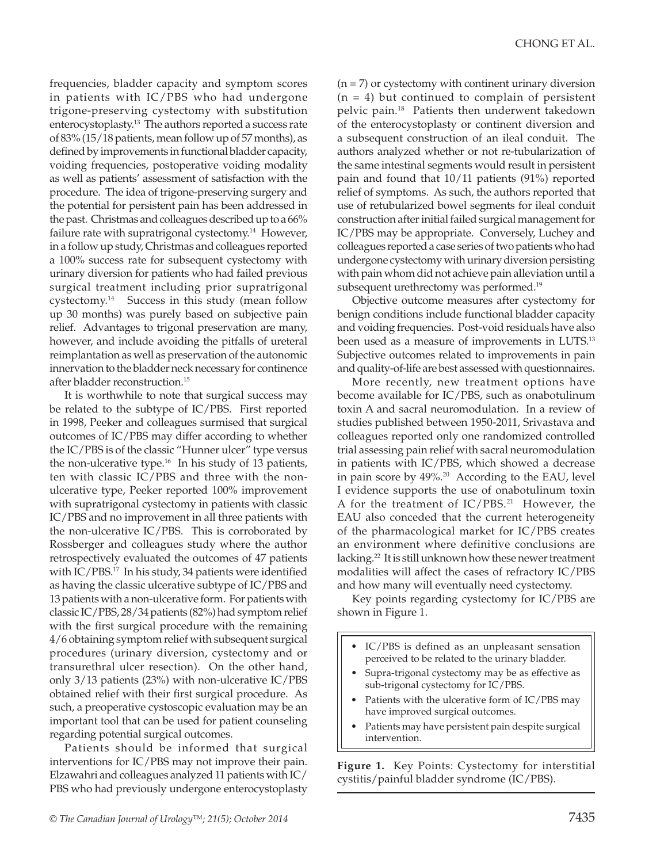frequencies, bladder capacity and symptom scores in patients with IC/PBS who had undergone trigone-preserving cystectomy with substitution enterocystoplasty.13 The authors reported a success rate of 83% (15/18 patients, mean follow up of 57 months), as defined by improvements in functional bladder capacity, voiding frequencies, postoperative voiding modality as well as patients' assessment of satisfaction with the procedure. The idea of trigone-preserving surgery and the potential for persistent pain has been addressed in the past. Christmas and colleagues described up to a 66% failure rate with supratrigonal cystectomy.<sup>14</sup> However, in a follow up study, Christmas and colleagues reported a 100% success rate for subsequent cystectomy with urinary diversion for patients who had failed previous surgical treatment including prior supratrigonal cystectomy.14 Success in this study (mean follow up 30 months) was purely based on subjective pain relief. Advantages to trigonal preservation are many, however, and include avoiding the pitfalls of ureteral reimplantation as well as preservation of the autonomic innervation to the bladder neck necessary for continence after bladder reconstruction.15

It is worthwhile to note that surgical success may be related to the subtype of IC/PBS. First reported in 1998, Peeker and colleagues surmised that surgical outcomes of IC/PBS may differ according to whether the IC/PBS is of the classic "Hunner ulcer" type versus the non-ulcerative type.<sup>16</sup> In his study of 13 patients, ten with classic IC/PBS and three with the nonulcerative type, Peeker reported 100% improvement with supratrigonal cystectomy in patients with classic IC/PBS and no improvement in all three patients with the non-ulcerative IC/PBS. This is corroborated by Rossberger and colleagues study where the author retrospectively evaluated the outcomes of 47 patients with IC/PBS.<sup>17</sup> In his study, 34 patients were identified as having the classic ulcerative subtype of IC/PBS and 13 patients with a non-ulcerative form. For patients with classic IC/PBS, 28/34 patients (82%) had symptom relief with the first surgical procedure with the remaining 4/6 obtaining symptom relief with subsequent surgical procedures (urinary diversion, cystectomy and or transurethral ulcer resection). On the other hand, only 3/13 patients (23%) with non-ulcerative IC/PBS obtained relief with their first surgical procedure. As such, a preoperative cystoscopic evaluation may be an important tool that can be used for patient counseling regarding potential surgical outcomes.

Patients should be informed that surgical interventions for IC/PBS may not improve their pain. Elzawahri and colleagues analyzed 11 patients with IC/ PBS who had previously undergone enterocystoplasty

 $(n = 7)$  or cystectomy with continent urinary diversion  $(n = 4)$  but continued to complain of persistent pelvic pain.18 Patients then underwent takedown of the enterocystoplasty or continent diversion and a subsequent construction of an ileal conduit. The authors analyzed whether or not re-tubularization of the same intestinal segments would result in persistent pain and found that 10/11 patients (91%) reported relief of symptoms. As such, the authors reported that use of retubularized bowel segments for ileal conduit construction after initial failed surgical management for IC/PBS may be appropriate. Conversely, Luchey and colleagues reported a case series of two patients who had undergone cystectomy with urinary diversion persisting with pain whom did not achieve pain alleviation until a subsequent urethrectomy was performed.<sup>19</sup>

Objective outcome measures after cystectomy for benign conditions include functional bladder capacity and voiding frequencies. Post-void residuals have also been used as a measure of improvements in LUTS.<sup>13</sup> Subjective outcomes related to improvements in pain and quality-of-life are best assessed with questionnaires.

More recently, new treatment options have become available for IC/PBS, such as onabotulinum toxin A and sacral neuromodulation. In a review of studies published between 1950-2011, Srivastava and colleagues reported only one randomized controlled trial assessing pain relief with sacral neuromodulation in patients with IC/PBS, which showed a decrease in pain score by 49%.<sup>20</sup> According to the EAU, level I evidence supports the use of onabotulinum toxin A for the treatment of  $IC/PBS<sup>21</sup>$  However, the EAU also conceded that the current heterogeneity of the pharmacological market for IC/PBS creates an environment where definitive conclusions are lacking.<sup>22</sup> It is still unknown how these newer treatment modalities will affect the cases of refractory IC/PBS and how many will eventually need cystectomy.

Key points regarding cystectomy for IC/PBS are shown in Figure 1.

- IC/PBS is defined as an unpleasant sensation perceived to be related to the urinary bladder.
- Supra-trigonal cystectomy may be as effective as sub-trigonal cystectomy for IC/PBS.
- Patients with the ulcerative form of IC/PBS may have improved surgical outcomes.
- Patients may have persistent pain despite surgical intervention.

**Figure 1.** Key Points: Cystectomy for interstitial cystitis/painful bladder syndrome (IC/PBS).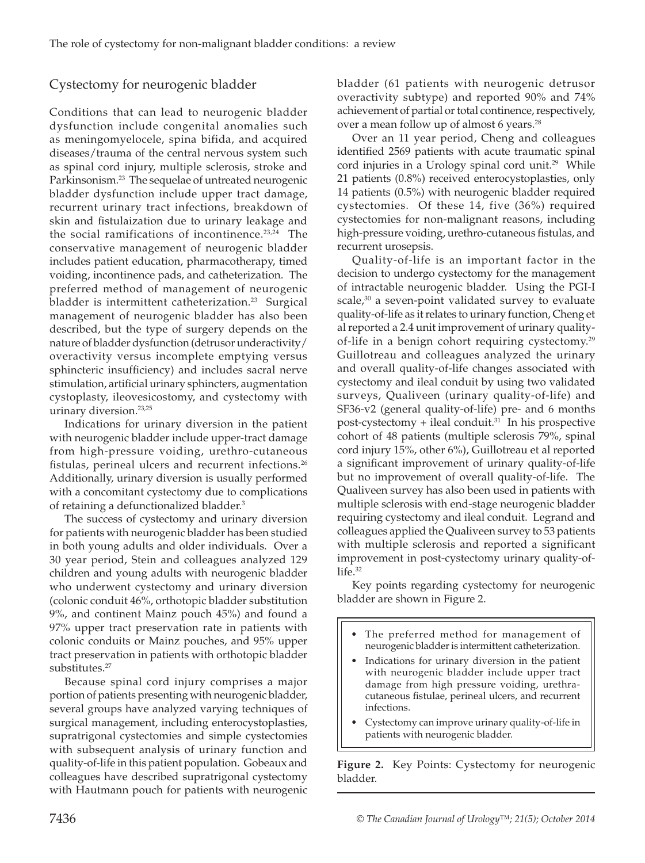# Cystectomy for neurogenic bladder

Conditions that can lead to neurogenic bladder dysfunction include congenital anomalies such as meningomyelocele, spina bifida, and acquired diseases/trauma of the central nervous system such as spinal cord injury, multiple sclerosis, stroke and Parkinsonism.<sup>23</sup> The sequelae of untreated neurogenic bladder dysfunction include upper tract damage, recurrent urinary tract infections, breakdown of skin and fistulaization due to urinary leakage and the social ramifications of incontinence.<sup>23,24</sup> The conservative management of neurogenic bladder includes patient education, pharmacotherapy, timed voiding, incontinence pads, and catheterization. The preferred method of management of neurogenic bladder is intermittent catheterization.<sup>23</sup> Surgical management of neurogenic bladder has also been described, but the type of surgery depends on the nature of bladder dysfunction (detrusor underactivity/ overactivity versus incomplete emptying versus sphincteric insufficiency) and includes sacral nerve stimulation, artificial urinary sphincters, augmentation cystoplasty, ileovesicostomy, and cystectomy with urinary diversion.<sup>23,25</sup>

Indications for urinary diversion in the patient with neurogenic bladder include upper-tract damage from high-pressure voiding, urethro-cutaneous fistulas, perineal ulcers and recurrent infections.<sup>26</sup> Additionally, urinary diversion is usually performed with a concomitant cystectomy due to complications of retaining a defunctionalized bladder.<sup>3</sup>

The success of cystectomy and urinary diversion for patients with neurogenic bladder has been studied in both young adults and older individuals. Over a 30 year period, Stein and colleagues analyzed 129 children and young adults with neurogenic bladder who underwent cystectomy and urinary diversion (colonic conduit 46%, orthotopic bladder substitution 9%, and continent Mainz pouch 45%) and found a 97% upper tract preservation rate in patients with colonic conduits or Mainz pouches, and 95% upper tract preservation in patients with orthotopic bladder substitutes.<sup>27</sup>

Because spinal cord injury comprises a major portion of patients presenting with neurogenic bladder, several groups have analyzed varying techniques of surgical management, including enterocystoplasties, supratrigonal cystectomies and simple cystectomies with subsequent analysis of urinary function and quality-of-life in this patient population. Gobeaux and colleagues have described supratrigonal cystectomy with Hautmann pouch for patients with neurogenic

bladder (61 patients with neurogenic detrusor overactivity subtype) and reported 90% and 74% achievement of partial or total continence, respectively, over a mean follow up of almost 6 years.<sup>28</sup>

Over an 11 year period, Cheng and colleagues identified 2569 patients with acute traumatic spinal cord injuries in a Urology spinal cord unit.<sup>29</sup> While 21 patients (0.8%) received enterocystoplasties, only 14 patients (0.5%) with neurogenic bladder required cystectomies. Of these 14, five (36%) required cystectomies for non-malignant reasons, including high-pressure voiding, urethro-cutaneous fistulas, and recurrent urosepsis.

Quality-of-life is an important factor in the decision to undergo cystectomy for the management of intractable neurogenic bladder. Using the PGI-I scale, $30$  a seven-point validated survey to evaluate quality-of-life as it relates to urinary function, Cheng et al reported a 2.4 unit improvement of urinary qualityof-life in a benign cohort requiring cystectomy.29 Guillotreau and colleagues analyzed the urinary and overall quality-of-life changes associated with cystectomy and ileal conduit by using two validated surveys, Qualiveen (urinary quality-of-life) and SF36-v2 (general quality-of-life) pre- and 6 months post-cystectomy + ileal conduit. $31$  In his prospective cohort of 48 patients (multiple sclerosis 79%, spinal cord injury 15%, other 6%), Guillotreau et al reported a significant improvement of urinary quality-of-life but no improvement of overall quality-of-life. The Qualiveen survey has also been used in patients with multiple sclerosis with end-stage neurogenic bladder requiring cystectomy and ileal conduit. Legrand and colleagues applied the Qualiveen survey to 53 patients with multiple sclerosis and reported a significant improvement in post-cystectomy urinary quality-of $life.<sup>32</sup>$ 

Key points regarding cystectomy for neurogenic bladder are shown in Figure 2.

- The preferred method for management of neurogenic bladder is intermittent catheterization.
- Indications for urinary diversion in the patient with neurogenic bladder include upper tract damage from high pressure voiding, urethracutaneous fistulae, perineal ulcers, and recurrent infections.
- Cystectomy can improve urinary quality-of-life in patients with neurogenic bladder.

**Figure 2.** Key Points: Cystectomy for neurogenic bladder.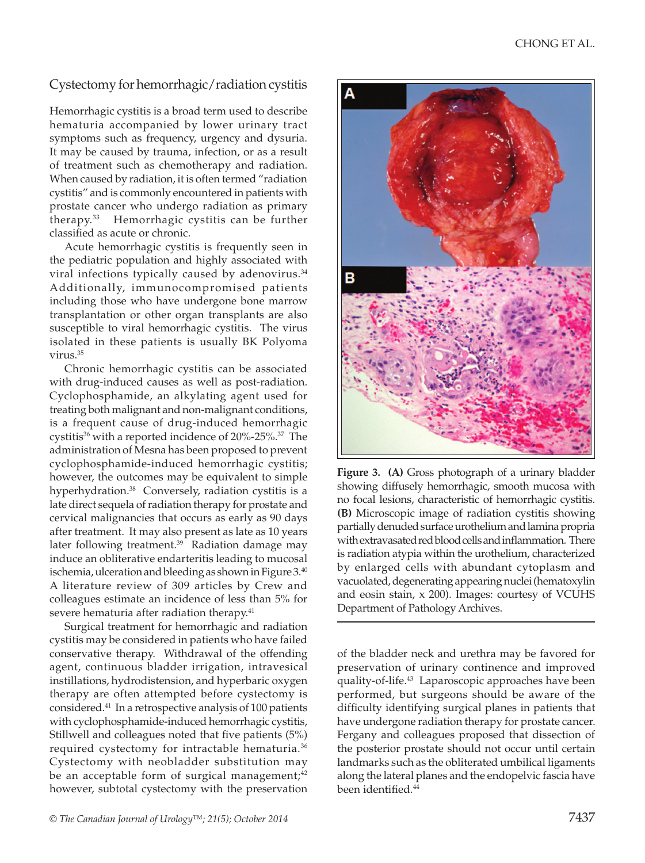# Cystectomy for hemorrhagic/radiation cystitis

Hemorrhagic cystitis is a broad term used to describe hematuria accompanied by lower urinary tract symptoms such as frequency, urgency and dysuria. It may be caused by trauma, infection, or as a result of treatment such as chemotherapy and radiation. When caused by radiation, it is often termed "radiation cystitis" and is commonly encountered in patients with prostate cancer who undergo radiation as primary therapy.33 Hemorrhagic cystitis can be further classified as acute or chronic.

Acute hemorrhagic cystitis is frequently seen in the pediatric population and highly associated with viral infections typically caused by adenovirus.<sup>34</sup> Additionally, immunocompromised patients including those who have undergone bone marrow transplantation or other organ transplants are also susceptible to viral hemorrhagic cystitis. The virus isolated in these patients is usually BK Polyoma virus.35

Chronic hemorrhagic cystitis can be associated with drug-induced causes as well as post-radiation. Cyclophosphamide, an alkylating agent used for treating both malignant and non-malignant conditions, is a frequent cause of drug-induced hemorrhagic cystitis<sup>36</sup> with a reported incidence of 20%-25%.<sup>37</sup> The administration of Mesna has been proposed to prevent cyclophosphamide-induced hemorrhagic cystitis; however, the outcomes may be equivalent to simple hyperhydration.<sup>38</sup> Conversely, radiation cystitis is a late direct sequela of radiation therapy for prostate and cervical malignancies that occurs as early as 90 days after treatment. It may also present as late as 10 years later following treatment.<sup>39</sup> Radiation damage may induce an obliterative endarteritis leading to mucosal ischemia, ulceration and bleeding as shown in Figure 3.40 A literature review of 309 articles by Crew and colleagues estimate an incidence of less than 5% for severe hematuria after radiation therapy.<sup>41</sup>

Surgical treatment for hemorrhagic and radiation cystitis may be considered in patients who have failed conservative therapy. Withdrawal of the offending agent, continuous bladder irrigation, intravesical instillations, hydrodistension, and hyperbaric oxygen therapy are often attempted before cystectomy is considered.41 In a retrospective analysis of 100 patients with cyclophosphamide-induced hemorrhagic cystitis, Stillwell and colleagues noted that five patients (5%) required cystectomy for intractable hematuria.<sup>36</sup> Cystectomy with neobladder substitution may be an acceptable form of surgical management; $42$ however, subtotal cystectomy with the preservation



**Figure 3. (A)** Gross photograph of a urinary bladder showing diffusely hemorrhagic, smooth mucosa with no focal lesions, characteristic of hemorrhagic cystitis. **(B)** Microscopic image of radiation cystitis showing partially denuded surface urothelium and lamina propria with extravasated red blood cells and inflammation. There is radiation atypia within the urothelium, characterized by enlarged cells with abundant cytoplasm and vacuolated, degenerating appearing nuclei (hematoxylin and eosin stain, x 200). Images: courtesy of VCUHS Department of Pathology Archives.

of the bladder neck and urethra may be favored for preservation of urinary continence and improved quality-of-life.43 Laparoscopic approaches have been performed, but surgeons should be aware of the difficulty identifying surgical planes in patients that have undergone radiation therapy for prostate cancer. Fergany and colleagues proposed that dissection of the posterior prostate should not occur until certain landmarks such as the obliterated umbilical ligaments along the lateral planes and the endopelvic fascia have been identified.<sup>44</sup>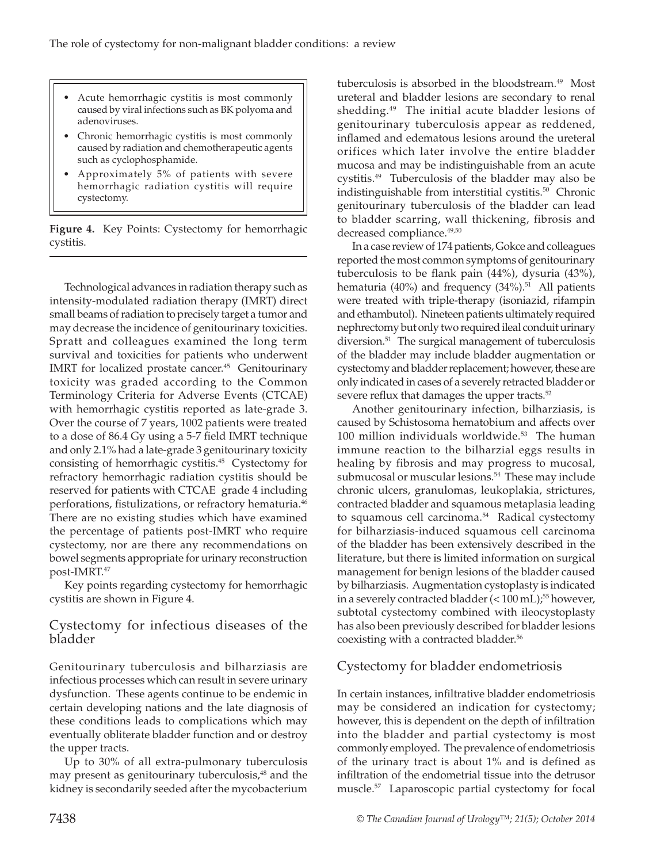- Acute hemorrhagic cystitis is most commonly caused by viral infections such as BK polyoma and adenoviruses.
- Chronic hemorrhagic cystitis is most commonly caused by radiation and chemotherapeutic agents such as cyclophosphamide.
- Approximately 5% of patients with severe hemorrhagic radiation cystitis will require cystectomy.

**Figure 4.** Key Points: Cystectomy for hemorrhagic cystitis.

Technological advances in radiation therapy such as intensity-modulated radiation therapy (IMRT) direct small beams of radiation to precisely target a tumor and may decrease the incidence of genitourinary toxicities. Spratt and colleagues examined the long term survival and toxicities for patients who underwent IMRT for localized prostate cancer.<sup>45</sup> Genitourinary toxicity was graded according to the Common Terminology Criteria for Adverse Events (CTCAE) with hemorrhagic cystitis reported as late-grade 3. Over the course of 7 years, 1002 patients were treated to a dose of 86.4 Gy using a 5-7 field IMRT technique and only 2.1% had a late-grade 3 genitourinary toxicity consisting of hemorrhagic cystitis.45 Cystectomy for refractory hemorrhagic radiation cystitis should be reserved for patients with CTCAE grade 4 including perforations, fistulizations, or refractory hematuria.<sup>46</sup> There are no existing studies which have examined the percentage of patients post-IMRT who require cystectomy, nor are there any recommendations on bowel segments appropriate for urinary reconstruction post-IMRT.47

Key points regarding cystectomy for hemorrhagic cystitis are shown in Figure 4.

#### Cystectomy for infectious diseases of the bladder

Genitourinary tuberculosis and bilharziasis are infectious processes which can result in severe urinary dysfunction. These agents continue to be endemic in certain developing nations and the late diagnosis of these conditions leads to complications which may eventually obliterate bladder function and or destroy the upper tracts.

Up to 30% of all extra-pulmonary tuberculosis may present as genitourinary tuberculosis,<sup>48</sup> and the kidney is secondarily seeded after the mycobacterium

tuberculosis is absorbed in the bloodstream.49 Most ureteral and bladder lesions are secondary to renal shedding.<sup>49</sup> The initial acute bladder lesions of genitourinary tuberculosis appear as reddened, inflamed and edematous lesions around the ureteral orifices which later involve the entire bladder mucosa and may be indistinguishable from an acute cystitis.49 Tuberculosis of the bladder may also be indistinguishable from interstitial cystitis.<sup>50</sup> Chronic genitourinary tuberculosis of the bladder can lead to bladder scarring, wall thickening, fibrosis and decreased compliance.<sup>49,50</sup>

In a case review of 174 patients, Gokce and colleagues reported the most common symptoms of genitourinary tuberculosis to be flank pain (44%), dysuria (43%), hematuria (40%) and frequency  $(34\%)$ <sup>51</sup> All patients were treated with triple-therapy (isoniazid, rifampin and ethambutol). Nineteen patients ultimately required nephrectomy but only two required ileal conduit urinary diversion.<sup>51</sup> The surgical management of tuberculosis of the bladder may include bladder augmentation or cystectomy and bladder replacement; however, these are only indicated in cases of a severely retracted bladder or severe reflux that damages the upper tracts.<sup>52</sup>

Another genitourinary infection, bilharziasis, is caused by Schistosoma hematobium and affects over 100 million individuals worldwide.<sup>53</sup> The human immune reaction to the bilharzial eggs results in healing by fibrosis and may progress to mucosal, submucosal or muscular lesions.<sup>54</sup> These may include chronic ulcers, granulomas, leukoplakia, strictures, contracted bladder and squamous metaplasia leading to squamous cell carcinoma.<sup>54</sup> Radical cystectomy for bilharziasis-induced squamous cell carcinoma of the bladder has been extensively described in the literature, but there is limited information on surgical management for benign lesions of the bladder caused by bilharziasis. Augmentation cystoplasty is indicated in a severely contracted bladder  $(< 100 \text{ mL})$ ;<sup>55</sup> however, subtotal cystectomy combined with ileocystoplasty has also been previously described for bladder lesions coexisting with a contracted bladder.<sup>56</sup>

# Cystectomy for bladder endometriosis

In certain instances, infiltrative bladder endometriosis may be considered an indication for cystectomy; however, this is dependent on the depth of infiltration into the bladder and partial cystectomy is most commonly employed. The prevalence of endometriosis of the urinary tract is about 1% and is defined as infiltration of the endometrial tissue into the detrusor muscle.57 Laparoscopic partial cystectomy for focal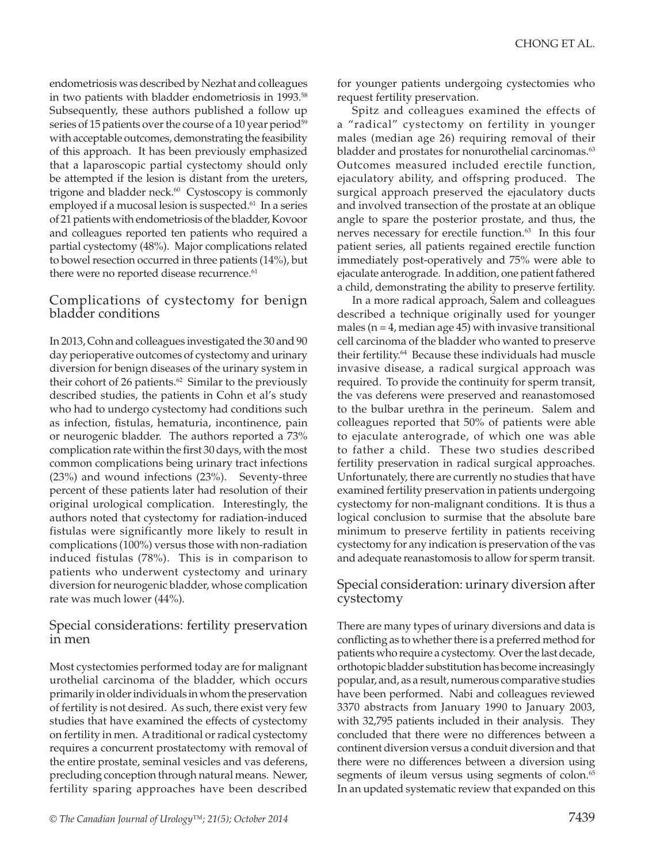endometriosis was described by Nezhat and colleagues in two patients with bladder endometriosis in 1993.58 Subsequently, these authors published a follow up series of 15 patients over the course of a 10 year period<sup>59</sup> with acceptable outcomes, demonstrating the feasibility of this approach. It has been previously emphasized that a laparoscopic partial cystectomy should only be attempted if the lesion is distant from the ureters, trigone and bladder neck.<sup>60</sup> Cystoscopy is commonly employed if a mucosal lesion is suspected.<sup>61</sup> In a series of 21 patients with endometriosis of the bladder, Kovoor and colleagues reported ten patients who required a partial cystectomy (48%). Major complications related to bowel resection occurred in three patients (14%), but there were no reported disease recurrence.<sup>61</sup>

#### Complications of cystectomy for benign bladder conditions

In 2013, Cohn and colleagues investigated the 30 and 90 day perioperative outcomes of cystectomy and urinary diversion for benign diseases of the urinary system in their cohort of 26 patients.<sup>62</sup> Similar to the previously described studies, the patients in Cohn et al's study who had to undergo cystectomy had conditions such as infection, fistulas, hematuria, incontinence, pain or neurogenic bladder. The authors reported a 73% complication rate within the first 30 days, with the most common complications being urinary tract infections (23%) and wound infections (23%). Seventy-three percent of these patients later had resolution of their original urological complication. Interestingly, the authors noted that cystectomy for radiation-induced fistulas were significantly more likely to result in complications (100%) versus those with non-radiation induced fistulas (78%). This is in comparison to patients who underwent cystectomy and urinary diversion for neurogenic bladder, whose complication rate was much lower (44%).

#### Special considerations: fertility preservation in men

Most cystectomies performed today are for malignant urothelial carcinoma of the bladder, which occurs primarily in older individuals in whom the preservation of fertility is not desired. As such, there exist very few studies that have examined the effects of cystectomy on fertility in men. A traditional or radical cystectomy requires a concurrent prostatectomy with removal of the entire prostate, seminal vesicles and vas deferens, precluding conception through natural means. Newer, fertility sparing approaches have been described

for younger patients undergoing cystectomies who request fertility preservation.

Spitz and colleagues examined the effects of a "radical" cystectomy on fertility in younger males (median age 26) requiring removal of their bladder and prostates for nonurothelial carcinomas.<sup>63</sup> Outcomes measured included erectile function, ejaculatory ability, and offspring produced. The surgical approach preserved the ejaculatory ducts and involved transection of the prostate at an oblique angle to spare the posterior prostate, and thus, the nerves necessary for erectile function.<sup>63</sup> In this four patient series, all patients regained erectile function immediately post-operatively and 75% were able to ejaculate anterograde. In addition, one patient fathered a child, demonstrating the ability to preserve fertility.

In a more radical approach, Salem and colleagues described a technique originally used for younger males ( $n = 4$ , median age 45) with invasive transitional cell carcinoma of the bladder who wanted to preserve their fertility.64 Because these individuals had muscle invasive disease, a radical surgical approach was required. To provide the continuity for sperm transit, the vas deferens were preserved and reanastomosed to the bulbar urethra in the perineum. Salem and colleagues reported that 50% of patients were able to ejaculate anterograde, of which one was able to father a child. These two studies described fertility preservation in radical surgical approaches. Unfortunately, there are currently no studies that have examined fertility preservation in patients undergoing cystectomy for non-malignant conditions. It is thus a logical conclusion to surmise that the absolute bare minimum to preserve fertility in patients receiving cystectomy for any indication is preservation of the vas and adequate reanastomosis to allow for sperm transit.

#### Special consideration: urinary diversion after cystectomy

There are many types of urinary diversions and data is conflicting as to whether there is a preferred method for patients who require a cystectomy. Over the last decade, orthotopic bladder substitution has become increasingly popular, and, as a result, numerous comparative studies have been performed. Nabi and colleagues reviewed 3370 abstracts from January 1990 to January 2003, with 32,795 patients included in their analysis. They concluded that there were no differences between a continent diversion versus a conduit diversion and that there were no differences between a diversion using segments of ileum versus using segments of colon.<sup>65</sup> In an updated systematic review that expanded on this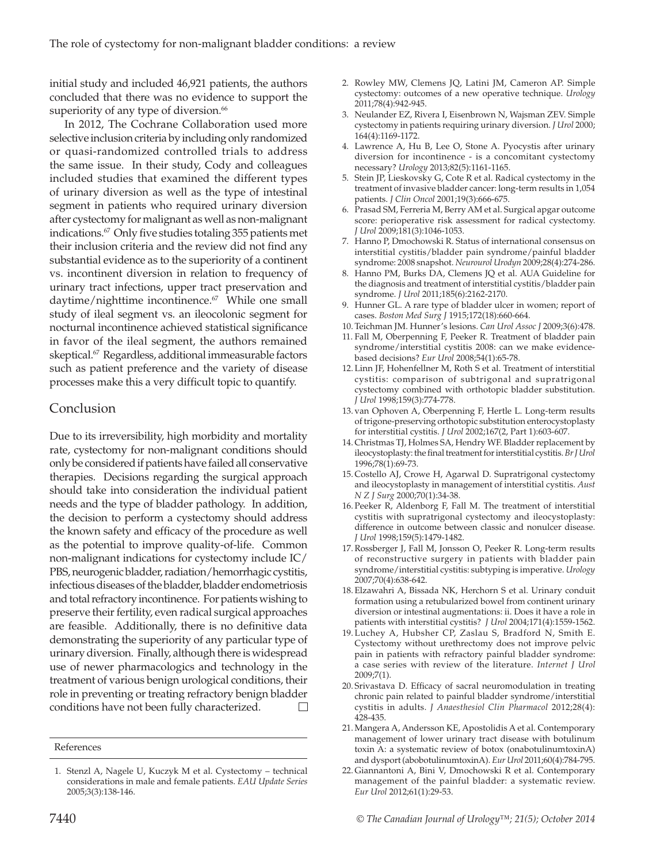initial study and included 46,921 patients, the authors concluded that there was no evidence to support the superiority of any type of diversion.<sup>66</sup>

In 2012, The Cochrane Collaboration used more selective inclusion criteria by including only randomized or quasi-randomized controlled trials to address the same issue. In their study, Cody and colleagues included studies that examined the different types of urinary diversion as well as the type of intestinal segment in patients who required urinary diversion after cystectomy for malignant as well as non-malignant indications.67 Only five studies totaling 355 patients met their inclusion criteria and the review did not find any substantial evidence as to the superiority of a continent vs. incontinent diversion in relation to frequency of urinary tract infections, upper tract preservation and daytime/nighttime incontinence.<sup>67</sup> While one small study of ileal segment vs. an ileocolonic segment for nocturnal incontinence achieved statistical significance in favor of the ileal segment, the authors remained skeptical.<sup>67</sup> Regardless, additional immeasurable factors such as patient preference and the variety of disease processes make this a very difficult topic to quantify.

#### Conclusion

Due to its irreversibility, high morbidity and mortality rate, cystectomy for non-malignant conditions should only be considered if patients have failed all conservative therapies. Decisions regarding the surgical approach should take into consideration the individual patient needs and the type of bladder pathology. In addition, the decision to perform a cystectomy should address the known safety and efficacy of the procedure as well as the potential to improve quality-of-life. Common non-malignant indications for cystectomy include IC/ PBS, neurogenic bladder, radiation/hemorrhagic cystitis, infectious diseases of the bladder, bladder endometriosis and total refractory incontinence. For patients wishing to preserve their fertility, even radical surgical approaches are feasible. Additionally, there is no definitive data demonstrating the superiority of any particular type of urinary diversion. Finally, although there is widespread use of newer pharmacologics and technology in the treatment of various benign urological conditions, their role in preventing or treating refractory benign bladder conditions have not been fully characterized.

- 3. Neulander EZ, Rivera I, Eisenbrown N, Wajsman ZEV. Simple cystectomy in patients requiring urinary diversion. *J Urol* 2000; 164(4):1169-1172.
- 4. Lawrence A, Hu B, Lee O, Stone A. Pyocystis after urinary diversion for incontinence - is a concomitant cystectomy necessary? *Urology* 2013;82(5):1161-1165.
- 5. Stein JP, Lieskovsky G, Cote R et al. Radical cystectomy in the treatment of invasive bladder cancer: long-term results in 1,054 patients. *J Clin Oncol* 2001;19(3):666-675.
- 6. Prasad SM, Ferreria M, Berry AM et al. Surgical apgar outcome score: perioperative risk assessment for radical cystectomy. *J Urol* 2009;181(3):1046-1053.
- 7. Hanno P, Dmochowski R. Status of international consensus on interstitial cystitis/bladder pain syndrome/painful bladder syndrome: 2008 snapshot. *Neurourol Urodyn* 2009;28(4):274-286.
- 8. Hanno PM, Burks DA, Clemens JQ et al. AUA Guideline for the diagnosis and treatment of interstitial cystitis/bladder pain syndrome. *J Urol* 2011;185(6):2162-2170.
- Hunner GL. A rare type of bladder ulcer in women; report of cases. *Boston Med Surg J* 1915;172(18):660-664.
- 10. Teichman JM. Hunner's lesions. *Can Urol Assoc J* 2009;3(6):478.
- 11. Fall M, Oberpenning F, Peeker R. Treatment of bladder pain syndrome/interstitial cystitis 2008: can we make evidencebased decisions? *Eur Urol* 2008;54(1):65-78.
- 12. Linn JF, Hohenfellner M, Roth S et al. Treatment of interstitial cystitis: comparison of subtrigonal and supratrigonal cystectomy combined with orthotopic bladder substitution. *J Urol* 1998;159(3):774-778.
- 13. van Ophoven A, Oberpenning F, Hertle L. Long-term results of trigone-preserving orthotopic substitution enterocystoplasty for interstitial cystitis. *J Urol* 2002;167(2, Part 1):603-607.
- 14. Christmas TJ, Holmes SA, Hendry WF. Bladder replacement by ileocystoplasty: the final treatment for interstitial cystitis. *Br J Urol* 1996;78(1):69-73.
- 15. Costello AJ, Crowe H, Agarwal D. Supratrigonal cystectomy and ileocystoplasty in management of interstitial cystitis. *Aust N Z J Surg* 2000;70(1):34-38.
- 16. Peeker R, Aldenborg F, Fall M. The treatment of interstitial cystitis with supratrigonal cystectomy and ileocystoplasty: difference in outcome between classic and nonulcer disease. *J Urol* 1998;159(5):1479-1482.
- 17.Rossberger J, Fall M, Jonsson O, Peeker R. Long-term results of reconstructive surgery in patients with bladder pain syndrome/interstitial cystitis: subtyping is imperative. *Urology* 2007;70(4):638-642.
- 18. Elzawahri A, Bissada NK, Herchorn S et al. Urinary conduit formation using a retubularized bowel from continent urinary diversion or intestinal augmentations: ii. Does it have a role in patients with interstitial cystitis? *J Urol* 2004;171(4):1559-1562.
- 19. Luchey A, Hubsher CP, Zaslau S, Bradford N, Smith E. Cystectomy without urethrectomy does not improve pelvic pain in patients with refractory painful bladder syndrome: a case series with review of the literature. *Internet J Urol* 2009;7(1).
- 20. Srivastava D. Efficacy of sacral neuromodulation in treating chronic pain related to painful bladder syndrome/interstitial cystitis in adults. *J Anaesthesiol Clin Pharmacol* 2012;28(4): 428-435.
- 21.Mangera A, Andersson KE, Apostolidis A et al. Contemporary management of lower urinary tract disease with botulinum toxin A: a systematic review of botox (onabotulinumtoxinA) and dysport (abobotulinumtoxinA). *Eur Urol* 2011;60(4):784-795.
- 22. Giannantoni A, Bini V, Dmochowski R et al. Contemporary management of the painful bladder: a systematic review. *Eur Urol* 2012;61(1):29-53.

References

<sup>1.</sup> Stenzl A, Nagele U, Kuczyk M et al. Cystectomy – technical considerations in male and female patients. *EAU Update Series* 2005;3(3):138-146.